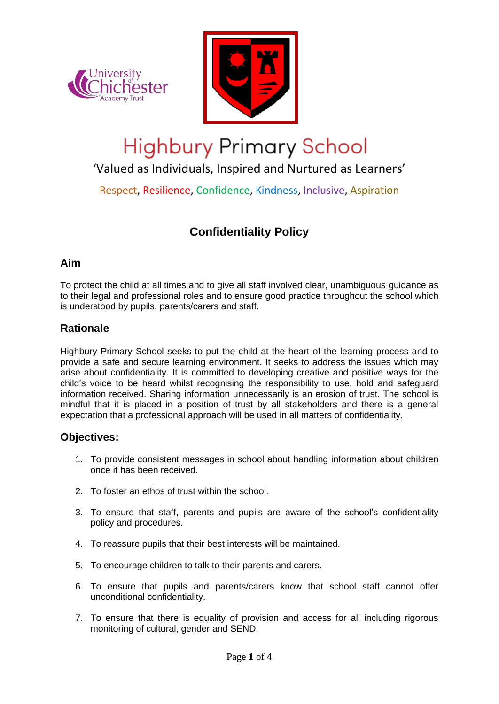



# **Highbury Primary School**

'Valued as Individuals, Inspired and Nurtured as Learners'

Respect, Resilience, Confidence, Kindness, Inclusive, Aspiration

# **Confidentiality Policy**

#### **Aim**

To protect the child at all times and to give all staff involved clear, unambiguous guidance as to their legal and professional roles and to ensure good practice throughout the school which is understood by pupils, parents/carers and staff.

## **Rationale**

Highbury Primary School seeks to put the child at the heart of the learning process and to provide a safe and secure learning environment. It seeks to address the issues which may arise about confidentiality. It is committed to developing creative and positive ways for the child's voice to be heard whilst recognising the responsibility to use, hold and safeguard information received. Sharing information unnecessarily is an erosion of trust. The school is mindful that it is placed in a position of trust by all stakeholders and there is a general expectation that a professional approach will be used in all matters of confidentiality.

#### **Objectives:**

- 1. To provide consistent messages in school about handling information about children once it has been received.
- 2. To foster an ethos of trust within the school.
- 3. To ensure that staff, parents and pupils are aware of the school's confidentiality policy and procedures.
- 4. To reassure pupils that their best interests will be maintained.
- 5. To encourage children to talk to their parents and carers.
- 6. To ensure that pupils and parents/carers know that school staff cannot offer unconditional confidentiality.
- 7. To ensure that there is equality of provision and access for all including rigorous monitoring of cultural, gender and SEND.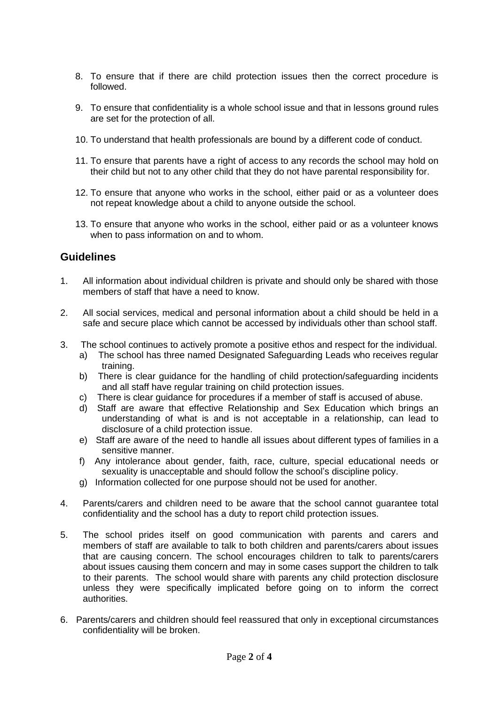- 8. To ensure that if there are child protection issues then the correct procedure is followed.
- 9. To ensure that confidentiality is a whole school issue and that in lessons ground rules are set for the protection of all.
- 10. To understand that health professionals are bound by a different code of conduct.
- 11. To ensure that parents have a right of access to any records the school may hold on their child but not to any other child that they do not have parental responsibility for.
- 12. To ensure that anyone who works in the school, either paid or as a volunteer does not repeat knowledge about a child to anyone outside the school.
- 13. To ensure that anyone who works in the school, either paid or as a volunteer knows when to pass information on and to whom.

#### **Guidelines**

- 1. All information about individual children is private and should only be shared with those members of staff that have a need to know.
- 2. All social services, medical and personal information about a child should be held in a safe and secure place which cannot be accessed by individuals other than school staff.
- 3. The school continues to actively promote a positive ethos and respect for the individual.
	- a) The school has three named Designated Safeguarding Leads who receives regular training.
	- b) There is clear guidance for the handling of child protection/safeguarding incidents and all staff have regular training on child protection issues.
	- c) There is clear guidance for procedures if a member of staff is accused of abuse.
	- d) Staff are aware that effective Relationship and Sex Education which brings an understanding of what is and is not acceptable in a relationship, can lead to disclosure of a child protection issue.
	- e) Staff are aware of the need to handle all issues about different types of families in a sensitive manner.
	- f) Any intolerance about gender, faith, race, culture, special educational needs or sexuality is unacceptable and should follow the school's discipline policy.
	- g) Information collected for one purpose should not be used for another.
- 4. Parents/carers and children need to be aware that the school cannot guarantee total confidentiality and the school has a duty to report child protection issues.
- 5. The school prides itself on good communication with parents and carers and members of staff are available to talk to both children and parents/carers about issues that are causing concern. The school encourages children to talk to parents/carers about issues causing them concern and may in some cases support the children to talk to their parents. The school would share with parents any child protection disclosure unless they were specifically implicated before going on to inform the correct authorities.
- 6. Parents/carers and children should feel reassured that only in exceptional circumstances confidentiality will be broken.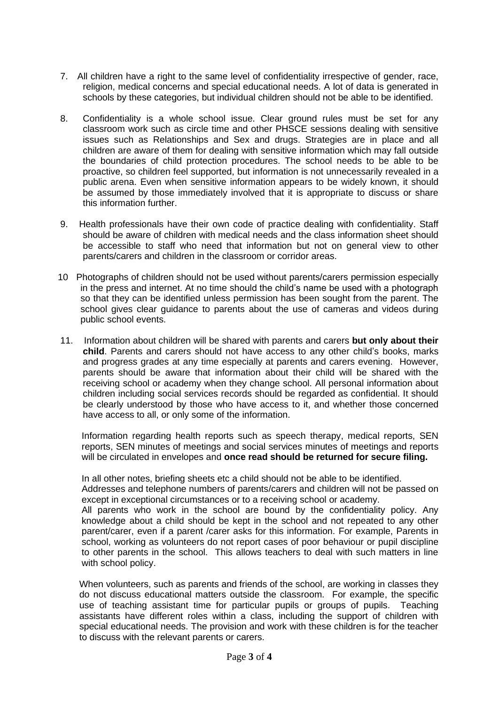- 7. All children have a right to the same level of confidentiality irrespective of gender, race, religion, medical concerns and special educational needs. A lot of data is generated in schools by these categories, but individual children should not be able to be identified.
- 8. Confidentiality is a whole school issue. Clear ground rules must be set for any classroom work such as circle time and other PHSCE sessions dealing with sensitive issues such as Relationships and Sex and drugs. Strategies are in place and all children are aware of them for dealing with sensitive information which may fall outside the boundaries of child protection procedures. The school needs to be able to be proactive, so children feel supported, but information is not unnecessarily revealed in a public arena. Even when sensitive information appears to be widely known, it should be assumed by those immediately involved that it is appropriate to discuss or share this information further.
- 9. Health professionals have their own code of practice dealing with confidentiality. Staff should be aware of children with medical needs and the class information sheet should be accessible to staff who need that information but not on general view to other parents/carers and children in the classroom or corridor areas.
- 10 Photographs of children should not be used without parents/carers permission especially in the press and internet. At no time should the child's name be used with a photograph so that they can be identified unless permission has been sought from the parent. The school gives clear guidance to parents about the use of cameras and videos during public school events.
- 11. Information about children will be shared with parents and carers **but only about their child**. Parents and carers should not have access to any other child's books, marks and progress grades at any time especially at parents and carers evening. However, parents should be aware that information about their child will be shared with the receiving school or academy when they change school. All personal information about children including social services records should be regarded as confidential. It should be clearly understood by those who have access to it, and whether those concerned have access to all, or only some of the information.

Information regarding health reports such as speech therapy, medical reports, SEN reports, SEN minutes of meetings and social services minutes of meetings and reports will be circulated in envelopes and **once read should be returned for secure filing.**

In all other notes, briefing sheets etc a child should not be able to be identified.

Addresses and telephone numbers of parents/carers and children will not be passed on except in exceptional circumstances or to a receiving school or academy.

All parents who work in the school are bound by the confidentiality policy. Any knowledge about a child should be kept in the school and not repeated to any other parent/carer, even if a parent /carer asks for this information. For example, Parents in school, working as volunteers do not report cases of poor behaviour or pupil discipline to other parents in the school. This allows teachers to deal with such matters in line with school policy.

When volunteers, such as parents and friends of the school, are working in classes they do not discuss educational matters outside the classroom. For example, the specific use of teaching assistant time for particular pupils or groups of pupils. Teaching assistants have different roles within a class, including the support of children with special educational needs. The provision and work with these children is for the teacher to discuss with the relevant parents or carers.